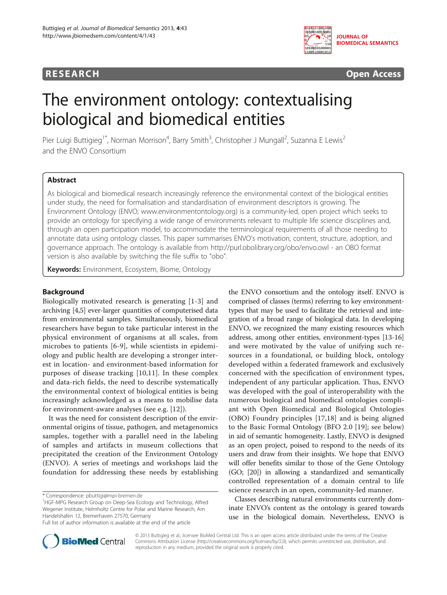0110111001100 101001001000 **JOURNAL OF BIOMEDICAL SEMANTICS**  $\widetilde{110}$ 1010010100000 110011000101:

# **RESEARCH RESEARCH** *CHECKER CHECKER CHECKER CHECKER CHECKER CHECKER CHECKER CHECKER CHECKER CHECKER CHECKER*

# The environment ontology: contextualising biological and biomedical entities

Pier Luigi Buttigieg<sup>1\*</sup>, Norman Morrison<sup>4</sup>, Barry Smith<sup>3</sup>, Christopher J Mungall<sup>2</sup>, Suzanna E Lewis<sup>2</sup> and the ENVO Consortium

# Abstract

As biological and biomedical research increasingly reference the environmental context of the biological entities under study, the need for formalisation and standardisation of environment descriptors is growing. The Environment Ontology (ENVO; [www.environmentontology.org](http://www.environmentontology.org)) is a community-led, open project which seeks to provide an ontology for specifying a wide range of environments relevant to multiple life science disciplines and, through an open participation model, to accommodate the terminological requirements of all those needing to annotate data using ontology classes. This paper summarises ENVO's motivation, content, structure, adoption, and governance approach. The ontology is available from<http://purl.obolibrary.org/obo/envo.owl> - an OBO format version is also available by switching the file suffix to "obo".

Keywords: Environment, Ecosystem, Biome, Ontology

# Background

Biologically motivated research is generating [\[1](#page-6-0)[-3](#page-7-0)] and archiving [\[4,5](#page-7-0)] ever-larger quantities of computerised data from environmental samples. Simultaneously, biomedical researchers have begun to take particular interest in the physical environment of organisms at all scales, from microbes to patients [[6-9\]](#page-7-0), while scientists in epidemiology and public health are developing a stronger interest in location- and environment-based information for purposes of disease tracking [[10,11](#page-7-0)]. In these complex and data-rich fields, the need to describe systematically the environmental context of biological entities is being increasingly acknowledged as a means to mobilise data for environment-aware analyses (see e.g. [[12](#page-7-0)]).

It was the need for consistent description of the environmental origins of tissue, pathogen, and metagenomics samples, together with a parallel need in the labeling of samples and artifacts in museum collections that precipitated the creation of the Environment Ontology (ENVO). A series of meetings and workshops laid the foundation for addressing these needs by establishing

\* Correspondence: [pbuttigi@mpi-bremen.de](mailto:pbuttigi@mpi-bremen.de) <sup>1</sup>

the ENVO consortium and the ontology itself. ENVO is comprised of classes (terms) referring to key environmenttypes that may be used to facilitate the retrieval and integration of a broad range of biological data. In developing ENVO, we recognized the many existing resources which address, among other entities, environment-types [[13](#page-7-0)-[16](#page-7-0)] and were motivated by the value of unifying such resources in a foundational, or building block, ontology developed within a federated framework and exclusively concerned with the specification of environment types, independent of any particular application. Thus, ENVO was developed with the goal of interoperability with the numerous biological and biomedical ontologies compliant with Open Biomedical and Biological Ontologies (OBO) Foundry principles [\[17](#page-7-0),[18\]](#page-7-0) and is being aligned to the Basic Formal Ontology (BFO 2.0 [\[19](#page-7-0)]; see below) in aid of semantic homogeneity. Lastly, ENVO is designed as an open project, poised to respond to the needs of its users and draw from their insights. We hope that ENVO will offer benefits similar to those of the Gene Ontology (GO; [[20](#page-7-0)]) in allowing a standardized and semantically controlled representation of a domain central to life science research in an open, community-led manner.

Classes describing natural environments currently dominate ENVO's content as the ontology is geared towards use in the biological domain. Nevertheless, ENVO is



© 2013 Buttigieg et al.; licensee BioMed Central Ltd. This is an open access article distributed under the terms of the Creative Commons Attribution License [\(http://creativecommons.org/licenses/by/2.0\)](http://creativecommons.org/licenses/by/2.0), which permits unrestricted use, distribution, and reproduction in any medium, provided the original work is properly cited.

HGF-MPG Research Group on Deep-Sea Ecology and Technology, Alfred Wegener Institute, Helmholtz Centre for Polar and Marine Research, Am Handelshafen 12, Bremerhaven 27570, Germany

Full list of author information is available at the end of the article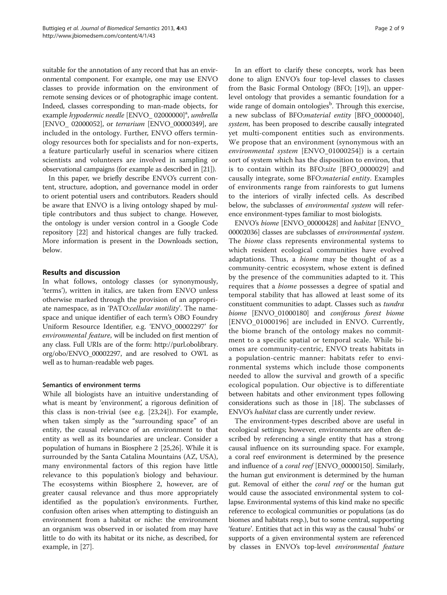suitable for the annotation of any record that has an environmental component. For example, one may use ENVO classes to provide information on the environment of remote sensing devices or of photographic image content. Indeed, classes corresponding to man-made objects, for example hypodermic needle [ENVO\_02000000]<sup>a</sup>, umbrella [ENVO<sub>\_</sub> 02000052], or *terrarium* [ENVO\_00000349], are included in the ontology. Further, ENVO offers terminology resources both for specialists and for non-experts, a feature particularly useful in scenarios where citizen scientists and volunteers are involved in sampling or observational campaigns (for example as described in [[21](#page-7-0)]).

In this paper, we briefly describe ENVO's current content, structure, adoption, and governance model in order to orient potential users and contributors. Readers should be aware that ENVO is a living ontology shaped by multiple contributors and thus subject to change. However, the ontology is under version control in a Google Code repository [[22](#page-7-0)] and historical changes are fully tracked. More information is present in the Downloads section, below.

# Results and discussion

In what follows, ontology classes (or synonymously, 'terms'), written in italics, are taken from ENVO unless otherwise marked through the provision of an appropriate namespace, as in 'PATO:cellular motility'. The namespace and unique identifier of each term's OBO Foundry Uniform Resource Identifier, e.g. 'ENVO\_00002297' for environmental feature, will be included on first mention of any class. Full URIs are of the form: [http://purl.obolibrary.](http://purl.obolibrary.org/obo/ENVO_00002297) [org/obo/ENVO\\_00002297](http://purl.obolibrary.org/obo/ENVO_00002297), and are resolved to OWL as well as to human-readable web pages.

# Semantics of environment terms

While all biologists have an intuitive understanding of what is meant by 'environment', a rigorous definition of this class is non-trivial (see e.g. [[23,24\]](#page-7-0)). For example, when taken simply as the "surrounding space" of an entity, the causal relevance of an environment to that entity as well as its boundaries are unclear. Consider a population of humans in Biosphere 2 [\[25,26\]](#page-7-0). While it is surrounded by the Santa Catalina Mountains (AZ, USA), many environmental factors of this region have little relevance to this population's biology and behaviour. The ecosystems within Biosphere 2, however, are of greater causal relevance and thus more appropriately identified as the population's environments. Further, confusion often arises when attempting to distinguish an environment from a habitat or niche: the environment an organism was observed in or isolated from may have little to do with its habitat or its niche, as described, for example, in [[27\]](#page-7-0).

In an effort to clarify these concepts, work has been done to align ENVO's four top-level classes to classes from the Basic Formal Ontology (BFO; [[19](#page-7-0)]), an upperlevel ontology that provides a semantic foundation for a wide range of domain ontologies<sup>b</sup>. Through this exercise, a new subclass of BFO:material entity [BFO\_0000040], system, has been proposed to describe causally integrated yet multi-component entities such as environments. We propose that an environment (synonymous with an environmental system [ENVO\_01000254]) is a certain sort of system which has the disposition to environ, that is to contain within its BFO:site [BFO\_0000029] and causally integrate, some BFO:material entity. Examples of environments range from rainforests to gut lumens to the interiors of virally infected cells. As described below, the subclasses of environmental system will reference environment-types familiar to most biologists.

ENVO's biome [ENVO\_00000428] and habitat [ENVO\_ 00002036] classes are subclasses of environmental system. The *biome* class represents environmental systems to which resident ecological communities have evolved adaptations. Thus, a *biome* may be thought of as a community-centric ecosystem, whose extent is defined by the presence of the communities adapted to it. This requires that a biome possesses a degree of spatial and temporal stability that has allowed at least some of its constituent communities to adapt. Classes such as tundra biome [ENVO\_01000180] and coniferous forest biome [ENVO\_01000196] are included in ENVO. Currently, the biome branch of the ontology makes no commitment to a specific spatial or temporal scale. While biomes are community-centric, ENVO treats habitats in a population-centric manner: habitats refer to environmental systems which include those components needed to allow the survival and growth of a specific ecological population. Our objective is to differentiate between habitats and other environment types following considerations such as those in [\[18\]](#page-7-0). The subclasses of ENVO's habitat class are currently under review.

The environment-types described above are useful in ecological settings; however, environments are often described by referencing a single entity that has a strong causal influence on its surrounding space. For example, a coral reef environment is determined by the presence and influence of a *coral reef* [ENVO\_00000150]. Similarly, the human gut environment is determined by the human gut. Removal of either the coral reef or the human gut would cause the associated environmental system to collapse. Environmental systems of this kind make no specific reference to ecological communities or populations (as do biomes and habitats resp.), but to some central, supporting 'feature'. Entities that act in this way as the causal 'hubs' or supports of a given environmental system are referenced by classes in ENVO's top-level environmental feature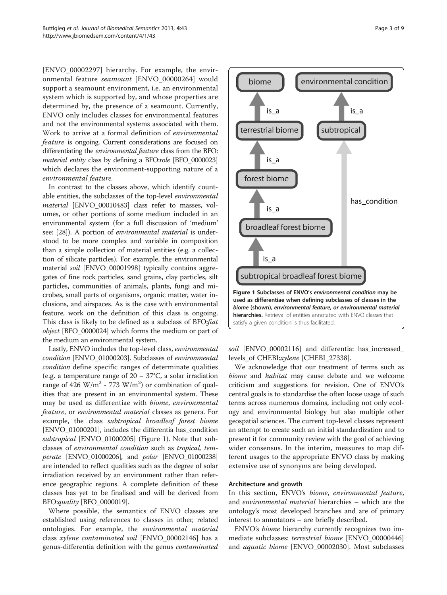[ENVO\_00002297] hierarchy. For example, the environmental feature seamount [ENVO\_00000264] would support a seamount environment, i.e. an environmental system which is supported by, and whose properties are determined by, the presence of a seamount. Currently, ENVO only includes classes for environmental features and not the environmental systems associated with them. Work to arrive at a formal definition of environmental feature is ongoing. Current considerations are focused on differentiating the environmental feature class from the BFO: material entity class by defining a BFO:role [BFO\_0000023] which declares the environment-supporting nature of a environmental feature.

In contrast to the classes above, which identify countable entities, the subclasses of the top-level environmental material [ENVO\_00010483] class refer to masses, volumes, or other portions of some medium included in an environmental system (for a full discussion of 'medium' see: [[28](#page-7-0)]). A portion of environmental material is understood to be more complex and variable in composition than a simple collection of material entities (e.g. a collection of silicate particles). For example, the environmental material soil [ENVO\_00001998] typically contains aggregates of fine rock particles, sand grains, clay particles, silt particles, communities of animals, plants, fungi and microbes, small parts of organisms, organic matter, water inclusions, and airspaces. As is the case with environmental feature, work on the definition of this class is ongoing. This class is likely to be defined as a subclass of BFO:fiat object [BFO\_0000024] which forms the medium or part of the medium an environmental system.

Lastly, ENVO includes the top-level class, environmental condition [ENVO\_01000203]. Subclasses of environmental condition define specific ranges of determinate qualities (e.g. a temperature range of  $20 - 37$ °C, a solar irradiation range of 426  $W/m^2$  - 773  $W/m^2$ ) or combination of qualities that are present in an environmental system. These may be used as differentiae with biome, environmental feature, or environmental material classes as genera. For example, the class subtropical broadleaf forest biome [ENVO\_01000201], includes the differentia has\_condition subtropical [ENVO\_01000205] (Figure 1). Note that subclasses of environmental condition such as tropical, tem*perate* [ENVO\_01000206], and *polar* [ENVO\_01000238] are intended to reflect qualities such as the degree of solar irradiation received by an environment rather than reference geographic regions. A complete definition of these classes has yet to be finalised and will be derived from BFO:quality [BFO\_0000019].

Where possible, the semantics of ENVO classes are established using references to classes in other, related ontologies. For example, the environmental material class xylene contaminated soil [ENVO\_00002146] has a genus-differentia definition with the genus contaminated



soil [ENVO\_00002116] and differentia: has increased levels\_of CHEBI:xylene [CHEBI\_27338].

We acknowledge that our treatment of terms such as biome and habitat may cause debate and we welcome criticism and suggestions for revision. One of ENVO's central goals is to standardise the often loose usage of such terms across numerous domains, including not only ecology and environmental biology but also multiple other geospatial sciences. The current top-level classes represent an attempt to create such an initial standardization and to present it for community review with the goal of achieving wider consensus. In the interim, measures to map different usages to the appropriate ENVO class by making extensive use of synonyms are being developed.

#### Architecture and growth

In this section, ENVO's biome, environmental feature, and environmental material hierarchies – which are the ontology's most developed branches and are of primary interest to annotators – are briefly described.

ENVO's biome hierarchy currently recognizes two immediate subclasses: terrestrial biome [ENVO\_00000446] and aquatic biome [ENVO\_00002030]. Most subclasses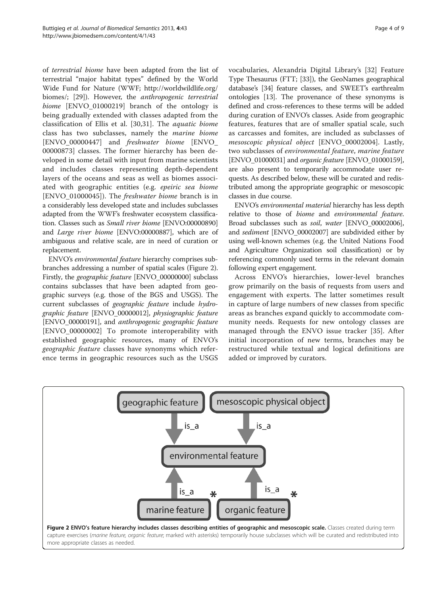of terrestrial biome have been adapted from the list of terrestrial "major habitat types" defined by the World Wide Fund for Nature (WWF; [http://worldwildlife.org/](http://worldwildlife.org/biomes/) [biomes/](http://worldwildlife.org/biomes/); [[29](#page-7-0)]). However, the anthropogenic terrestrial biome [ENVO\_01000219] branch of the ontology is being gradually extended with classes adapted from the classification of Ellis et al. [\[30](#page-7-0),[31\]](#page-7-0). The aquatic biome class has two subclasses, namely the marine biome [ENVO\_00000447] and freshwater biome [ENVO\_ 00000873] classes. The former hierarchy has been developed in some detail with input from marine scientists and includes classes representing depth-dependent layers of the oceans and seas as well as biomes associated with geographic entities (e.g. epeiric sea biome [ENVO 01000045]). The *freshwater biome* branch is in a considerably less developed state and includes subclasses adapted from the WWF's freshwater ecosystem classification. Classes such as Small river biome [ENVO:00000890] and Large river biome [ENVO:00000887], which are of ambiguous and relative scale, are in need of curation or replacement.

ENVO's environmental feature hierarchy comprises subbranches addressing a number of spatial scales (Figure 2). Firstly, the geographic feature [ENVO\_00000000] subclass contains subclasses that have been adapted from geographic surveys (e.g. those of the BGS and USGS). The current subclasses of geographic feature include hydrographic feature [ENVO\_00000012], physiographic feature [ENVO\_00000191], and anthropogenic geographic feature [ENVO\_00000002] To promote interoperability with established geographic resources, many of ENVO's geographic feature classes have synonyms which reference terms in geographic resources such as the USGS vocabularies, Alexandria Digital Library's [\[32](#page-7-0)] Feature Type Thesaurus (FTT; [\[33\]](#page-7-0)), the GeoNames geographical database's [\[34](#page-7-0)] feature classes, and SWEET's earthrealm ontologies [\[13\]](#page-7-0). The provenance of these synonyms is defined and cross-references to these terms will be added during curation of ENVO's classes. Aside from geographic features, features that are of smaller spatial scale, such as carcasses and fomites, are included as subclasses of mesoscopic physical object [ENVO\_00002004]. Lastly, two subclasses of environmental feature, marine feature [ENVO\_01000031] and organic feature [ENVO\_01000159], are also present to temporarily accommodate user requests. As described below, these will be curated and redistributed among the appropriate geographic or mesoscopic classes in due course.

ENVO's environmental material hierarchy has less depth relative to those of biome and environmental feature. Broad subclasses such as soil, water [ENVO\_00002006], and sediment [ENVO\_00002007] are subdivided either by using well-known schemes (e.g. the United Nations Food and Agriculture Organization soil classification) or by referencing commonly used terms in the relevant domain following expert engagement.

Across ENVO's hierarchies, lower-level branches grow primarily on the basis of requests from users and engagement with experts. The latter sometimes result in capture of large numbers of new classes from specific areas as branches expand quickly to accommodate community needs. Requests for new ontology classes are managed through the ENVO issue tracker [[35](#page-7-0)]. After initial incorporation of new terms, branches may be restructured while textual and logical definitions are added or improved by curators.

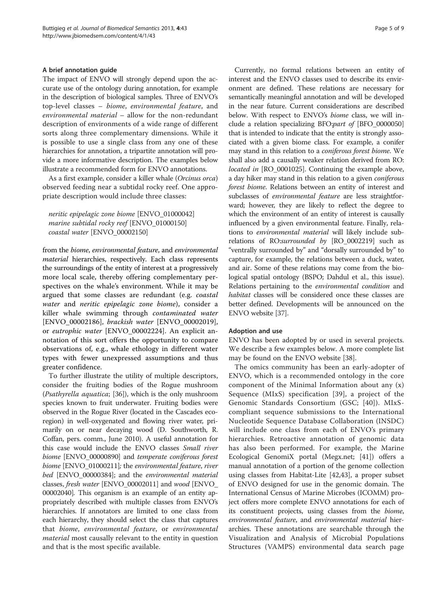#### A brief annotation guide

The impact of ENVO will strongly depend upon the accurate use of the ontology during annotation, for example in the description of biological samples. Three of ENVO's top-level classes – biome, environmental feature, and environmental material – allow for the non-redundant description of environments of a wide range of different sorts along three complementary dimensions. While it is possible to use a single class from any one of these hierarchies for annotation, a tripartite annotation will provide a more informative description. The examples below illustrate a recommended form for ENVO annotations.

As a first example, consider a killer whale (Orcinus orca) observed feeding near a subtidal rocky reef. One appropriate description would include three classes:

neritic epipelagic zone biome [ENVO\_01000042] marine subtidal rocky reef [ENVO\_01000150] coastal water [ENVO\_00002150]

from the biome, environmental feature, and environmental *material* hierarchies, respectively. Each class represents the surroundings of the entity of interest at a progressively more local scale, thereby offering complementary perspectives on the whale's environment. While it may be argued that some classes are redundant (e.g. coastal water and neritic epipelagic zone biome), consider a killer whale swimming through contaminated water [ENVO\_00002186], brackish water [ENVO\_00002019], or eutrophic water [ENVO\_00002224]. An explicit annotation of this sort offers the opportunity to compare observations of, e.g., whale ethology in different water types with fewer unexpressed assumptions and thus greater confidence.

To further illustrate the utility of multiple descriptors, consider the fruiting bodies of the Rogue mushroom (Psathyrella aquatica; [\[36](#page-7-0)]), which is the only mushroom species known to fruit underwater. Fruiting bodies were observed in the Rogue River (located in the Cascades ecoregion) in well-oxygenated and flowing river water, primarily on or near decaying wood (D. Southworth, R. Coffan, pers. comm., June 2010). A useful annotation for this case would include the ENVO classes Small river biome [ENVO\_00000890] and temperate coniferous forest biome [ENVO\_01000211]; the environmental feature, river bed [ENVO\_00000384]; and the environmental material classes, fresh water [ENVO\_00002011] and wood [ENVO\_ 00002040]. This organism is an example of an entity appropriately described with multiple classes from ENVO's hierarchies. If annotators are limited to one class from each hierarchy, they should select the class that captures that biome, environmental feature, or environmental material most causally relevant to the entity in question and that is the most specific available.

Currently, no formal relations between an entity of interest and the ENVO classes used to describe its environment are defined. These relations are necessary for semantically meaningful annotation and will be developed in the near future. Current considerations are described below. With respect to ENVO's *biome* class, we will include a relation specializing BFO:part of [BFO\_0000050] that is intended to indicate that the entity is strongly associated with a given biome class. For example, a conifer may stand in this relation to a coniferous forest biome. We shall also add a causally weaker relation derived from RO: located in [RO\_0001025]. Continuing the example above, a day hiker may stand in this relation to a given coniferous forest biome. Relations between an entity of interest and subclasses of *environmental feature* are less straightforward; however, they are likely to reflect the degree to which the environment of an entity of interest is causally influenced by a given environmental feature. Finally, relations to environmental material will likely include subrelations of RO:surrounded by [RO\_0002219] such as "ventrally surrounded by" and "dorsally surrounded by" to capture, for example, the relations between a duck, water, and air. Some of these relations may come from the biological spatial ontology (BSPO; Dahdul et al., this issue). Relations pertaining to the environmental condition and habitat classes will be considered once these classes are better defined. Developments will be announced on the ENVO website [[37\]](#page-7-0).

#### Adoption and use

ENVO has been adopted by or used in several projects. We describe a few examples below. A more complete list may be found on the ENVO website [\[38\]](#page-7-0).

The omics community has been an early-adopter of ENVO, which is a recommended ontology in the core component of the Minimal Information about any (x) Sequence (MIxS) specification [\[39\]](#page-7-0), a project of the Genomic Standards Consortium (GSC; [[40](#page-7-0)]). MIxScompliant sequence submissions to the International Nucleotide Sequence Database Collaboration (INSDC) will include one class from each of ENVO's primary hierarchies. Retroactive annotation of genomic data has also been performed. For example, the Marine Ecological GenomiX portal (Megx.net; [\[41](#page-7-0)]) offers a manual annotation of a portion of the genome collection using classes from Habitat-Lite [\[42,43\]](#page-7-0), a proper subset of ENVO designed for use in the genomic domain. The International Census of Marine Microbes (ICOMM) project offers more complete ENVO annotations for each of its constituent projects, using classes from the biome, environmental feature, and environmental material hierarchies. These annotations are searchable through the Visualization and Analysis of Microbial Populations Structures (VAMPS) environmental data search page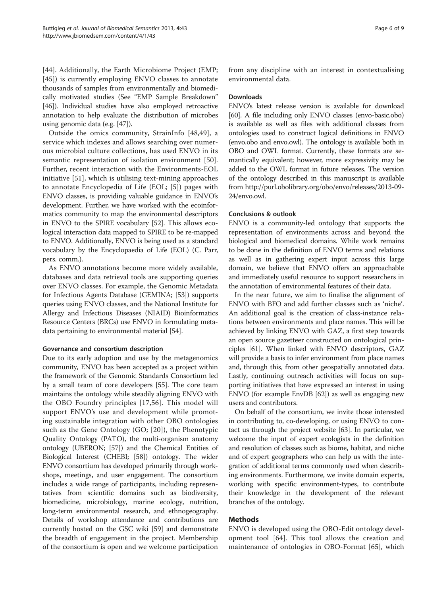[[44\]](#page-7-0). Additionally, the Earth Microbiome Project (EMP; [[45\]](#page-7-0)) is currently employing ENVO classes to annotate thousands of samples from environmentally and biomedically motivated studies (See "EMP Sample Breakdown" [[46](#page-7-0)]). Individual studies have also employed retroactive annotation to help evaluate the distribution of microbes using genomic data (e.g. [[47](#page-7-0)]).

Outside the omics community, StrainInfo [[48,49\]](#page-8-0), a service which indexes and allows searching over numerous microbial culture collections, has used ENVO in its semantic representation of isolation environment [[50](#page-8-0)]. Further, recent interaction with the Environments-EOL initiative [\[51](#page-8-0)], which is utilising text-mining approaches to annotate Encyclopedia of Life (EOL; [\[5](#page-7-0)]) pages with ENVO classes, is providing valuable guidance in ENVO's development. Further, we have worked with the ecoinformatics community to map the environmental descriptors in ENVO to the SPIRE vocabulary [\[52\]](#page-8-0). This allows ecological interaction data mapped to SPIRE to be re-mapped to ENVO. Additionally, ENVO is being used as a standard vocabulary by the Encyclopaedia of Life (EOL) (C. Parr, pers. comm.).

As ENVO annotations become more widely available, databases and data retrieval tools are supporting queries over ENVO classes. For example, the Genomic Metadata for Infectious Agents Database (GEMINA; [[53](#page-8-0)]) supports queries using ENVO classes, and the National Institute for Allergy and Infectious Diseases (NIAID) Bioinformatics Resource Centers (BRCs) use ENVO in formulating metadata pertaining to environmental material [[54](#page-8-0)].

#### Governance and consortium description

Due to its early adoption and use by the metagenomics community, ENVO has been accepted as a project within the framework of the Genomic Standards Consortium led by a small team of core developers [\[55](#page-8-0)]. The core team maintains the ontology while steadily aligning ENVO with the OBO Foundry principles [[17](#page-7-0),[56\]](#page-8-0). This model will support ENVO's use and development while promoting sustainable integration with other OBO ontologies such as the Gene Ontology (GO; [[20](#page-7-0)]), the Phenotypic Quality Ontology (PATO), the multi-organism anatomy ontology (UBERON; [\[57\]](#page-8-0)) and the Chemical Entities of Biological Interest (CHEBI; [\[58\]](#page-8-0)) ontology. The wider ENVO consortium has developed primarily through workshops, meetings, and user engagement. The consortium includes a wide range of participants, including representatives from scientific domains such as biodiversity, biomedicine, microbiology, marine ecology, nutrition, long-term environmental research, and ethnogeography. Details of workshop attendance and contributions are currently hosted on the GSC wiki [\[59\]](#page-8-0) and demonstrate the breadth of engagement in the project. Membership of the consortium is open and we welcome participation

from any discipline with an interest in contextualising environmental data.

# Downloads

ENVO's latest release version is available for download [[60](#page-8-0)]. A file including only ENVO classes (envo-basic.obo) is available as well as files with additional classes from ontologies used to construct logical definitions in ENVO (envo.obo and envo.owl). The ontology is available both in OBO and OWL format. Currently, these formats are semantically equivalent; however, more expressivity may be added to the OWL format in future releases. The version of the ontology described in this manuscript is available from [http://purl.obolibrary.org/obo/envo/releases/2013-09-](http://purl.obolibrary.org/obo/envo/releases/2013-09-24/envo.owl) [24/envo.owl.](http://purl.obolibrary.org/obo/envo/releases/2013-09-24/envo.owl)

# Conclusions & outlook

ENVO is a community-led ontology that supports the representation of environments across and beyond the biological and biomedical domains. While work remains to be done in the definition of ENVO terms and relations as well as in gathering expert input across this large domain, we believe that ENVO offers an approachable and immediately useful resource to support researchers in the annotation of environmental features of their data.

In the near future, we aim to finalise the alignment of ENVO with BFO and add further classes such as 'niche'. An additional goal is the creation of class-instance relations between environments and place names. This will be achieved by linking ENVO with GAZ, a first step towards an open source gazetteer constructed on ontological principles [[61\]](#page-8-0). When linked with ENVO descriptors, GAZ will provide a basis to infer environment from place names and, through this, from other geospatially annotated data. Lastly, continuing outreach activities will focus on supporting initiatives that have expressed an interest in using ENVO (for example EnvDB [\[62\]](#page-8-0)) as well as engaging new users and contributors.

On behalf of the consortium, we invite those interested in contributing to, co-developing, or using ENVO to contact us through the project website [\[63\]](#page-8-0). In particular, we welcome the input of expert ecologists in the definition and resolution of classes such as biome, habitat, and niche and of expert geographers who can help us with the integration of additional terms commonly used when describing environments. Furthermore, we invite domain experts, working with specific environment-types, to contribute their knowledge in the development of the relevant branches of the ontology.

# Methods

ENVO is developed using the OBO-Edit ontology development tool [\[64](#page-8-0)]. This tool allows the creation and maintenance of ontologies in OBO-Format [\[65\]](#page-8-0), which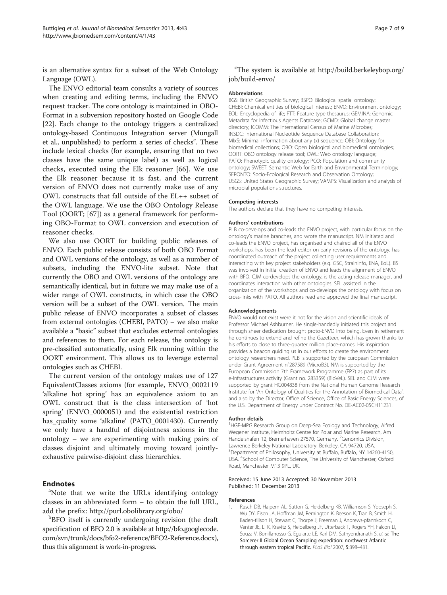<span id="page-6-0"></span>is an alternative syntax for a subset of the Web Ontology Language (OWL).

The ENVO editorial team consults a variety of sources when creating and editing terms, including the ENVO request tracker. The core ontology is maintained in OBO-Format in a subversion repository hosted on Google Code [[22](#page-7-0)]. Each change to the ontology triggers a centralized ontology-based Continuous Integration server (Mungall et al., unpublished) to perform a series of checks<sup>c</sup>. These include lexical checks (for example, ensuring that no two classes have the same unique label) as well as logical checks, executed using the Elk reasoner [[66](#page-8-0)]. We use the Elk reasoner because it is fast, and the current version of ENVO does not currently make use of any OWL constructs that fall outside of the EL++ subset of the OWL language. We use the OBO Ontology Release Tool (OORT; [[67](#page-8-0)]) as a general framework for performing OBO-Format to OWL conversion and execution of reasoner checks.

We also use OORT for building public releases of ENVO. Each public release consists of both OBO Format and OWL versions of the ontology, as well as a number of subsets, including the ENVO-lite subset. Note that currently the OBO and OWL versions of the ontology are semantically identical, but in future we may make use of a wider range of OWL constructs, in which case the OBO version will be a subset of the OWL version. The main public release of ENVO incorporates a subset of classes from external ontologies (CHEBI, PATO) – we also make available a "basic" subset that excludes external ontologies and references to them. For each release, the ontology is pre-classified automatically, using Elk running within the OORT environment. This allows us to leverage external ontologies such as CHEBI.

The current version of the ontology makes use of 127 EquivalentClasses axioms (for example, ENVO\_0002119 'alkaline hot spring' has an equivalence axiom to an OWL construct that is the class intersection of 'hot spring' (ENVO\_0000051) and the existential restriction has\_quality some 'alkaline' (PATO\_0001430). Currently we only have a handful of disjointness axioms in the ontology – we are experimenting with making pairs of classes disjoint and ultimately moving toward jointlyexhaustive pairwise-disjoint class hierarchies.

#### **Endnotes**

<sup>a</sup>Note that we write the URLs identifying ontology classes in an abbreviated form – to obtain the full URL, add the prefix:<http://purl.obolibrary.org/obo/>

**BFO** itself is currently undergoing revision (the draft specification of BFO 2.0 is available at [http://bfo.googlecode.](http://bfo.googlecode.com/svn/trunk/docs/bfo2-reference/BFO2-Reference.docx) [com/svn/trunk/docs/bfo2-reference/BFO2-Reference.docx](http://bfo.googlecode.com/svn/trunk/docs/bfo2-reference/BFO2-Reference.docx)), thus this alignment is work-in-progress.

<sup>c</sup>The system is available at [http://build.berkeleybop.org/](http://build.berkeleybop.org/job/build-envo/) [job/build-envo/](http://build.berkeleybop.org/job/build-envo/)

#### Abbreviations

BGS: British Geographic Survey; BSPO: Biological spatial ontology; CHEBI: Chemical entities of biological interest; ENVO: Environment ontology; EOL: Encyclopedia of life; FTT: Feature type thesaurus; GEMINA: Genomic Metadata for Infectious Agents Database; GCMD: Global change master directory; ICOMM: The International Census of Marine Microbes; INSDC: International Nucleotide Sequence Database Collaboration; MIxS: Minimal information about any (x) sequence; OBI: Ontology for biomedical collections; OBO: Open biological and biomedical ontologies; OORT: OBO ontology release tool; OWL: Web ontology language; PATO: Phenotypic quality ontology; PCO: Population and community ontology; SWEET: Semantic Web for Earth and Environmental Terminology; SERONTO: Socio-Ecological Research and Observation Ontology; USGS: United States Geographic Survey; VAMPS: Visualization and analysis of microbial populations structures.

#### Competing interests

The authors declare that they have no competing interests.

#### Authors' contributions

PLB co-develops and co-leads the ENVO project, with particular focus on the ontology's marine branches, and wrote the manuscript. NM initiated and co-leads the ENVO project, has organised and chaired all of the ENVO workshops, has been the lead editor on early revisions of the ontology, has coordinated outreach of the project collecting user requirements and interacting with key project stakeholders (e.g. GSC, StrainInfo, ENA, EoL). BS was involved in initial creation of ENVO and leads the alignment of ENVO with BFO. CJM co-develops the ontology, is the acting release manager, and coordinates interaction with other ontologies. SEL assisted in the organization of the workshops and co-develops the ontology with focus on cross-links with PATO. All authors read and approved the final manuscript.

#### Acknowledgements

ENVO would not exist were it not for the vision and scientific ideals of Professor Michael Ashburner. He single-handedly initiated this project and through sheer dedication brought proto-ENVO into being. Even in retirement he continues to extend and refine the Gazetteer, which has grown thanks to his efforts to close to three-quarter million place-names. His inspiration provides a beacon guiding us in our efforts to create the environment ontology researchers need. PLB is supported by the European Commission under Grant Agreement n°287589 (MicroB3). NM is supported by the European Commission 7th Framework Programme (FP7) as part of its e-Infrastructures activity (Grant no. 283359) (BioVeL). SEL and CJM were supported by grant HG004838 from the National Human Genome Research Institute for 'An Ontology of Qualities for the Annotation of Biomedical Data', and also by the Director, Office of Science, Office of Basic Energy Sciences, of the U.S. Department of Energy under Contract No. DE-AC02-05CH11231.

#### Author details

<sup>1</sup>HGF-MPG Research Group on Deep-Sea Ecology and Technology, Alfred Wegener Institute, Helmholtz Centre for Polar and Marine Research, Am Handelshafen 12, Bremerhaven 27570, Germany. <sup>2</sup>Genomics Division, Lawrence Berkeley National Laboratory, Berkeley, CA 94720, USA. <sup>3</sup>Department of Philosophy, University at Buffalo, Buffalo, NY 14260-4150 USA. <sup>4</sup> School of Computer Science, The University of Manchester, Oxford Road, Manchester M13 9PL, UK.

#### Received: 15 June 2013 Accepted: 30 November 2013 Published: 11 December 2013

#### References

Rusch DB, Halpern AL, Sutton G, Heidelberg KB, Williamson S, Yooseph S, Wu DY, Eisen JA, Hoffman JM, Remington K, Beeson K, Tran B, Smith H, Baden-tillson H, Stewart C, Thorpe J, Freeman J, Andrews-pfannkoch C, Venter JE, Li K, Kravitz S, Heidelberg JF, Utterback T, Rogers YH, Falcon LI, Souza V, Bonilla-rosso G, Eguiarte LE, Karl DM, Sathyendranath S, et al: The Sorcerer II Global Ocean Sampling expedition: northwest Atlantic through eastern tropical Pacific. PLoS Biol 2007, 5:398–431.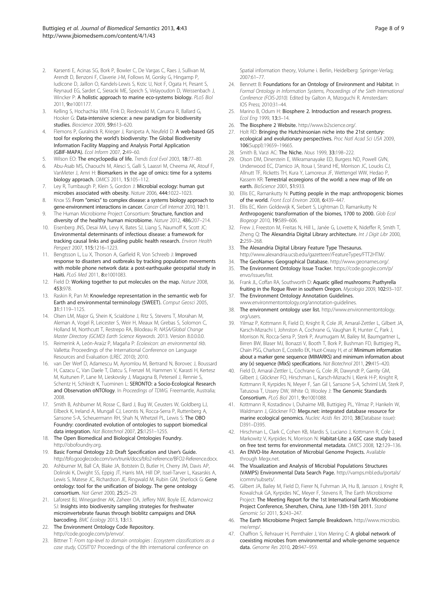- <span id="page-7-0"></span>2. Karsenti E, Acinas SG, Bork P, Bowler C, De Vargas C, Raes J, Sullivan M, Arendt D, Benzoni F, Claverie J-M, Follows M, Gorsky G, Hingamp P, Iudicone D, Jaillon O, Kandels-Lewis S, Krzic U, Not F, Ogata H, Pesant S, Reynaud EG, Sardet C, Sieracki ME, Speich S, Velayoudon D, Weissenbach J, Wincker P: A holistic approach to marine eco-systems biology. PLoS Biol 2011, 9:e1001177.
- 3. Kelling S, Hochachka WM, Fink D, Riedewald M, Caruana R, Ballard G, Hooker G: Data-intensive science: a new paradigm for biodiversity studies. Bioscience 2009, 59:613–620.
- 4. Flemons P, Guralnick R, Krieger J, Ranipeta A, Neufeld D: A web-based GIS tool for exploring the world's biodiversity: The Global Biodiversity Information Facility Mapping and Analysis Portal Application (GBIF-MAPA). Ecol Inform 2007, 2:49–60.
- 5. Wilson EO: The encyclopedia of life. Trends Ecol Evol 2003, 18:77–80.
- 6. Abu-Asab MS, Chaouchi M, Alesci S, Galli S, Laassri M, Cheema AK, Atouf F, VanMeter J, Amri H: Biomarkers in the age of omics: time for a systems biology approach. OMICS 2011, 15:105–112.
- 7. Ley R, Turnbaugh P, Klein S, Gordon J: Microbial ecology: human gut microbes associated with obesity. Nature 2006, 444:1022–1023.
- Knox SS: From "omics" to complex disease: a systems biology approach to gene-environment interactions in cancer. Cancer Cell Internat 2010, 10:11.
- 9. The Human Microbiome Project Consortium: Structure, function and diversity of the healthy human microbiome. Nature 2012, 486:207–214.
- 10. Eisenberg JNS, Desai MA, Levy K, Bates SJ, Liang S, Naumoff K, Scott JC: Environmental determinants of infectious disease: a framework for tracking causal links and guiding public health research. Environ Health Perspect 2007, 115:1216–1223.
- 11. Bengtsson L, Lu X, Thorson A, Garfield R, Von Schreeb J: Improved response to disasters and outbreaks by tracking population movements with mobile phone network data: a post-earthquake geospatial study in Haiti. PLoS Med 2011, 8:e1001083.
- 12. Field D: Working together to put molecules on the map. Nature 2008, 453:978.
- 13. Raskin R, Pan M: Knowledge representation in the semantic web for Earth and environmental terminology (SWEET). Comput Geosci 2005, 31:1119–1125.
- 14. Olsen LM, Major G, Shein K, Scialdone J, Ritz S, Stevens T, Morahan M, Aleman A, Vogel R, Leicester S, Weir H, Meaux M, Grebas S, Solomon C, Holland M, Northcutt T, Restrepo RA, Bilodeau R: NASA/Global Change Master Directory (GCMD) Earth Science Keywords. 2013. Version 8.0.0.0.0.
- 15. Reimerink A, León-Araúz P, Magaña P: Ecolexicon: an environmental tkb. Valletta: Proceedings of the International Conference on Language Resources and Evaluation (LREC 2010); 2010.
- 16. van Der Werf D, Adamescu M, Ayromlou M, Bertrand N, Borovec J, Boussard H, Cazacu C, Van Daele T, Datcu S, Frenzel M, Hammen V, Karasti H, Kertesz M, Kuitunen P, Lane M, Lieskovsky J, Magagna B, Peterseil J, Rennie S, Schentz H, Schleidt K, Tuominen L: SERONTO: a Socio-Ecological Research and Observation oNTOlogy. In Proceedings of TDWG. Freemantle, Australia; 2008.
- 17. Smith B, Ashburner M, Rosse C, Bard J, Bug W, Ceusters W, Goldberg LJ, Eilbeck K, Ireland A, Mungall CJ, Leontis N, Rocca-Serra P, Ruttenberg A, Sansone S-A, Scheuermann RH, Shah N, Whetzel PL, Lewis S: The OBO Foundry: coordinated evolution of ontologies to support biomedical data integration. Nat Biotechnol 2007, 25:1251–1255.
- 18. The Open Biomedical and Biological Ontologies Foundry. <http://obofoundry.org>.
- 19. Basic Formal Ontology 2.0: Draft Specification and User's Guide. [http://bfo.googlecode.com/svn/trunk/docs/bfo2-reference/BFO2-Reference.docx.](http://bfo.googlecode.com/svn/trunk/docs/bfo2-reference/BFO2-Reference.docx)
- 20. Ashburner M, Ball CA, Blake JA, Botstein D, Butler H, Cherry JM, Davis AP, Dolinski K, Dwight SS, Eppig JT, Harris MA, Hill DP, Issel-Tarver L, Kasarskis A, Lewis S, Matese JC, Richardson JE, Ringwald M, Rubin GM, Sherlock G: Gene ontology: tool for the unification of biology. The gene ontology consortium. Nat Genet 2000, 25:25–29.
- 21. Laforest BJ, Winegardner AK, Zaheer OA, Jeffery NW, Boyle EE, Adamowicz SJ: Insights into biodiversity sampling strategies for freshwater microinvertebrate faunas through bioblitz campaigns and DNA barcoding. BMC Ecology 2013, 13:13.
- 22. The Environment Ontology Code Repository. [http://code.google.com/p/envo/.](http://code.google.com/p/envo/)
- 23. Bittner T: From top-level to domain ontologies : Ecosystem classifications as a case study, COSIT'07 Proceedings of the 8th international conference on

Spatial information theory, Volume i. Berlin, Heidelberg: Springer-Verlag; 2007:61–77.

- 24. Bennett B: Foundations for an Ontology of Environment and Habitat. In Formal Ontology in Information Systems, Proceedings of the Sixth International Conference (FOIS-2010). Edited by Galton A, Mizoguchi R. Amsterdam: IOS Press; 2010:31–44.
- 25. Marino B, Odum H: Biosphere 2. Introduction and research progress. Ecol Eng 1999, 13:3–14.
- 26. The Biosphere 2 Website. [http://www.b2science.org/.](http://www.b2science.org/)
- 27. Holt RD: Bringing the Hutchinsonian niche into the 21st century: ecological and evolutionary perspectives. Proc Natl Acad Sci USA 2009, 106(Suppl):19659–19665.
- 28. Smith B, Varzi AC: The Niche. Nous 1999, 33:198–222.
- 29. Olson DM, Dinerstein E, Wikramanayake ED, Burgess ND, Powell GVN, Underwood EC, D'amico JA, Itoua I, Strand HE, Morrison JC, Loucks CJ, Allnutt TF, Ricketts TH, Kura Y, Lamoreux JF, Wettengel WW, Hedao P, Kassem KR: Terrestrial ecoregions of the world: a new map of life on earth. BioScience 2001, 51:933.
- 30. Ellis EC, Ramankutty N: Putting people in the map: anthropogenic biomes of the world. Front Ecol Environ 2008, 6:439–447.
- 31. Ellis EC, Klein Goldewijk K, Siebert S, Lightman D, Ramankutty N: Anthropogenic transformation of the biomes, 1700 to 2000. Glob Ecol Biogeogr 2010, 19:589–606.
- 32. Frew J, Freeston M, Freitas N, Hill L, Janée G, Lovette K, Nideffer R, Smith T, Zheng Q: The Alexandria Digital Library architecture. Int J Digit Libr 2000,  $2.259 - 268$
- 33. The Alexandria Digital Library Feature Type Thesaurus. <http://www.alexandria.ucsb.edu/gazetteer//FeatureTypes/FTT2HTM/>.
- The GeoNames Geographical Database. [http://www.geonames.org/.](http://www.geonames.org/)
- 35. The Environment Ontology Issue Tracker. [https://code.google.com/p/](https://code.google.com/p/envo/issues/list) [envo/issues/list.](https://code.google.com/p/envo/issues/list)
- 36. Frank JL, Coffan RA, Southworth D: Aquatic gilled mushrooms: Psathyrella fruiting in the Rogue River in southern Oregon. Mycologia 2009, 102:93–107.
- 37. The Environment Ontology Annotation Guidelines. [www.environmentontology.org/annotation-guidelines](http://www.environmentontology.org/annotation-guidelines).
- 38. The environment ontology user list. [http://www.environmentontology.](http://www.environmentontology.org/users) [org/users](http://www.environmentontology.org/users).
- 39. Yilmaz P, Kottmann R, Field D, Knight R, Cole JR, Amaral-Zettler L, Gilbert JA, Karsch-Mizrachi I, Johnston A, Cochrane G, Vaughan R, Hunter C, Park J, Morrison N, Rocca-Serra P, Sterk P, Arumugam M, Bailey M, Baumgartner L, Birren BW, Blaser MJ, Bonazzi V, Booth T, Bork P, Bushman FD, Buttigieg PL, Chain PSG, Charlson E, Costello EK, Huot-Creasy H, et al: Minimum information about a marker gene sequence (MIMARKS) and minimum information about any (x) sequence (MIxS) specifications. Nat Biotechnol 2011, 29:415–420.
- 40. Field D, Amaral-Zettler L, Cochrane G, Cole JR, Dawyndt P, Garrity GM, Gilbert J, Glöckner FO, Hirschman L, Karsch-Mizrachi I, Klenk H-P, Knight R, Kottmann R, Kyrpides N, Meyer F, San Gil I, Sansone S-A, Schriml LM, Sterk P, Tatusova T, Ussery DW, White O, Wooley J: The Genomic Standards Consortium. PLoS Biol 2011, 9:e1001088.
- 41. Kottmann R, Kostadinov I, Duhaime MB, Buttigieg PL, Yilmaz P, Hankeln W, Waldmann J, Glöckner FO: Megx.net: integrated database resource for marine ecological genomics. Nucleic Acids Res 2010, 38(Database issue): D391–D395.
- 42. Hirschman L, Clark C, Cohen KB, Mardis S, Luciano J, Kottmann R, Cole J, Markowitz V, Kyrpides N, Morrison N: Habitat-Lite: a GSC case study based on free text terms for environmental metadata. OMICS 2008, 12:129–136.
- 43. An ENVO-lite Annotation of Microbial Genome Projects. Available through [Megx.net](http://megx.net).
- 44. The Visualization and Analysis of Microbial Populations Structures (VAMPS) Environmental Data Search Page. [http://vamps.mbl.edu/portals/](http://vamps.mbl.edu/portals/icomm/subsets/) [icomm/subsets/](http://vamps.mbl.edu/portals/icomm/subsets/).
- 45. Gilbert JA, Bailey M, Field D, Fierer N, Fuhrman JA, Hu B, Jansson J, Knight R, Kowalchuk GA, Kyrpides NC, Meyer F, Stevens R, The Earth Microbiome Project: The Meeting Report for the 1st International Earth Microbiome Project Conference, Shenzhen, China, June 13th-15th 2011. Stand Genomic Sci 2011, 5:243-247.
- 46. The Earth Microbiome Project Sample Breakdown. [http://www.microbio.](http://www.microbio.me/emp/) [me/emp/.](http://www.microbio.me/emp/)
- 47. Chaffron S, Rehrauer H, Pernthaler J, Von Mering C: A global network of coexisting microbes from environmental and whole-genome sequence data. Genome Res 2010, 20:947–959.